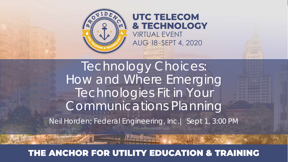

#### **UTC TELECOM & TECHNOLOGY VIRTUAL EVENT** AUG 18-SEPT 4, 2020

Technology Choices: How and Where Emerging Technologies Fit in Your Communications Planning

mmmmulli

Neil Horden; Federal Engineering, Inc.| Sept 1, 3:00 PM

#### THE ANCHOR FOR UTILITY EDUCATION & TRAINING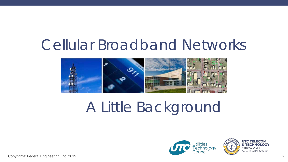# Cellular Broadband Networks



# A Little Background

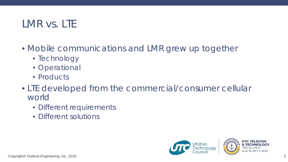#### LMR vs. LTE

- Mobile communications and LMR grew up together
	- Technology
	- Operational
	- Products
- LTE developed from the commercial/consumer cellular world
	- Different requirements
	- Different solutions

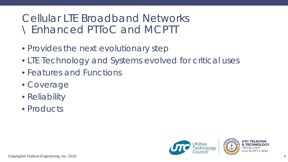#### Cellular LTE Broadband Networks \ Enhanced PTToC and MCPTT

- Provides the next evolutionary step
- LTE Technology and Systems evolved for critical uses
- Features and Functions
- Coverage
- Reliability
- Products

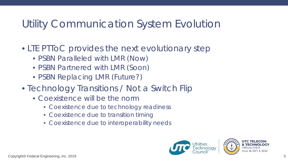## Utility Communication System Evolution

- LTE PTToC provides the next evolutionary step
	- PSBN Paralleled with LMR (Now)
	- PSBN Partnered with LMR (Soon)
	- PSBN Replacing LMR (Future?)
- Technology Transitions / Not a Switch Flip
	- Coexistence will be the norm
		- Coexistence due to technology readiness
		- Coexistence due to transition timing
		- Coexistence due to interoperability needs

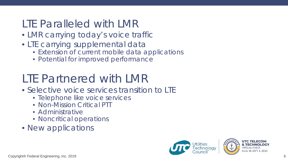### LTE Paralleled with LMR

- LMR carrying today's voice traffic
- LTE carrying supplemental data
	- Extension of current mobile data applications
	- Potential for improved performance

# LTE Partnered with LMR

- Selective voice services transition to LTE
	- Telephone like voice services
	- Non-Mission Critical PTT
	- Administrative
	- Noncritical operations
- New applications

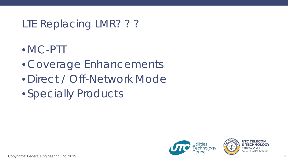## LTE Replacing LMR? ? ?

- •MC-PTT
- Coverage Enhancements
- Direct / Off-Network Mode
- Specially Products

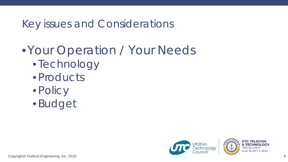### Key issues and Considerations

# •Your Operation / Your Needs

- Technology
- Products
- Policy
- Budget

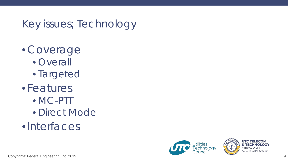# Key issues; Technology

- Coverage
	- Overall
	- Targeted
- Features
	- MC-PTT
	- Direct Mode
- •Interfaces

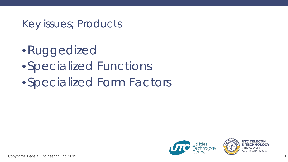#### Key issues; Products

- •Ruggedized
- •Specialized Functions
- •Specialized Form Factors

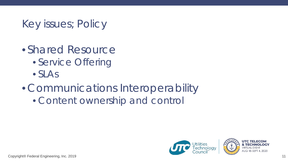## Key issues; Policy

- Shared Resource
	- Service Offering
	- SLAs
- Communications Interoperability
	- Content ownership and control

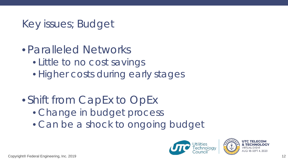## Key issues; Budget

- Paralleled Networks
	- Little to no cost savings
	- Higher costs during early stages
- Shift from CapEx to OpEx
	- Change in budget process
	- Can be a shock to ongoing budget



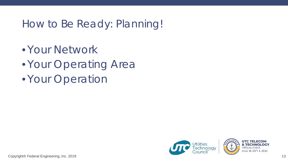### How to Be Ready: Planning!

• Your Network

• Your Operating Area

• Your Operation

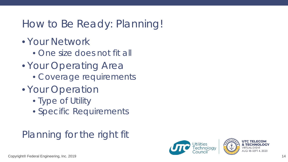## How to Be Ready: Planning!

- Your Network
	- One size does not fit all
- Your Operating Area
	- Coverage requirements
- Your Operation
	- Type of Utility
	- Specific Requirements

## Planning for the right fit

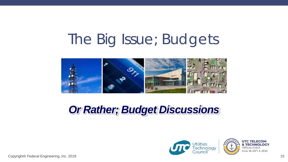# The Big Issue; Budgets



# *Or Rather; Budget Discussions*

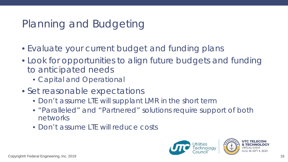# Planning and Budgeting

- Evaluate your current budget and funding plans
- Look for opportunities to align future budgets and funding to anticipated needs
	- Capital and Operational
- Set reasonable expectations
	- Don't assume LTE will supplant LMR in the short term
	- "Paralleled" and "Partnered" solutions require support of both networks
	- Don't assume LTE will reduce costs

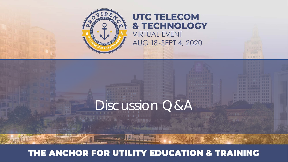

#### **UTC TELECOM & TECHNOLOGY VIRTUAL EVENT**

AUG 18-SEPT 4, 2020

1 日 日 1 円 円

**INFRANCIALITY innumerature** 

**MUNICIPALITI** 

# Discussion Q&A

#### THE ANCHOR FOR UTILITY EDUCATION & TRAINING

and a climate Thereon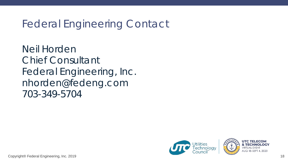#### Federal Engineering Contact

Neil Horden Chief Consultant Federal Engineering, Inc. nhorden@fedeng.com 703-349-5704